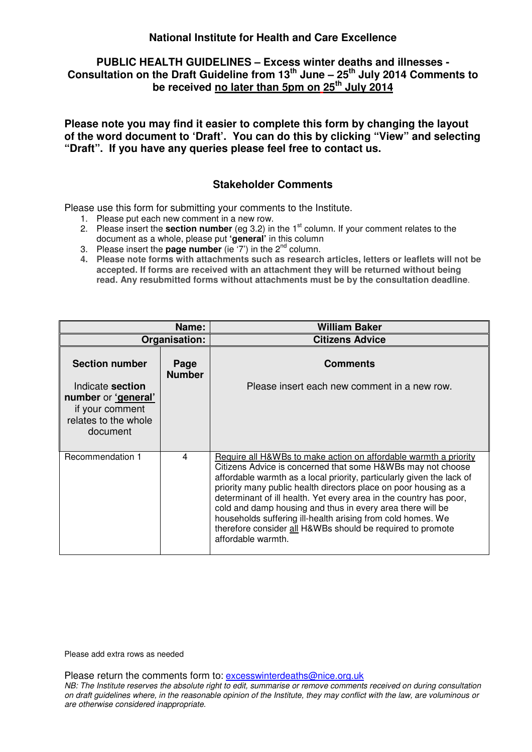# **PUBLIC HEALTH GUIDELINES – Excess winter deaths and illnesses - Consultation on the Draft Guideline from 13th June – 25th July 2014 Comments to be received no later than 5pm on 25th July 2014**

**Please note you may find it easier to complete this form by changing the layout of the word document to 'Draft'. You can do this by clicking "View" and selecting "Draft". If you have any queries please feel free to contact us.** 

### **Stakeholder Comments**

Please use this form for submitting your comments to the Institute.

- 1. Please put each new comment in a new row.
- 2. Please insert the **section number** (eg 3.2) in the 1st column. If your comment relates to the document as a whole, please put **'general'** in this column
- 3. Please insert the **page number** (ie  $(7')$  in the  $2^{nd}$  column.
- **4. Please note forms with attachments such as research articles, letters or leaflets will not be accepted. If forms are received with an attachment they will be returned without being read. Any resubmitted forms without attachments must be by the consultation deadline**.

|                                                                                                | Name:                 | <b>William Baker</b>                                                                                                                                                                                                                                                                                                                                                                                                                                                                                                                                                |
|------------------------------------------------------------------------------------------------|-----------------------|---------------------------------------------------------------------------------------------------------------------------------------------------------------------------------------------------------------------------------------------------------------------------------------------------------------------------------------------------------------------------------------------------------------------------------------------------------------------------------------------------------------------------------------------------------------------|
|                                                                                                | Organisation:         | <b>Citizens Advice</b>                                                                                                                                                                                                                                                                                                                                                                                                                                                                                                                                              |
| <b>Section number</b>                                                                          | Page<br><b>Number</b> | <b>Comments</b>                                                                                                                                                                                                                                                                                                                                                                                                                                                                                                                                                     |
| Indicate section<br>number or 'general'<br>if your comment<br>relates to the whole<br>document |                       | Please insert each new comment in a new row.                                                                                                                                                                                                                                                                                                                                                                                                                                                                                                                        |
| Recommendation 1                                                                               | $\overline{4}$        | Require all H&WBs to make action on affordable warmth a priority<br>Citizens Advice is concerned that some H&WBs may not choose<br>affordable warmth as a local priority, particularly given the lack of<br>priority many public health directors place on poor housing as a<br>determinant of ill health. Yet every area in the country has poor,<br>cold and damp housing and thus in every area there will be<br>households suffering ill-health arising from cold homes. We<br>therefore consider all H&WBs should be required to promote<br>affordable warmth. |

Please add extra rows as needed

Please return the comments form to: excesswinterdeaths@nice.org.uk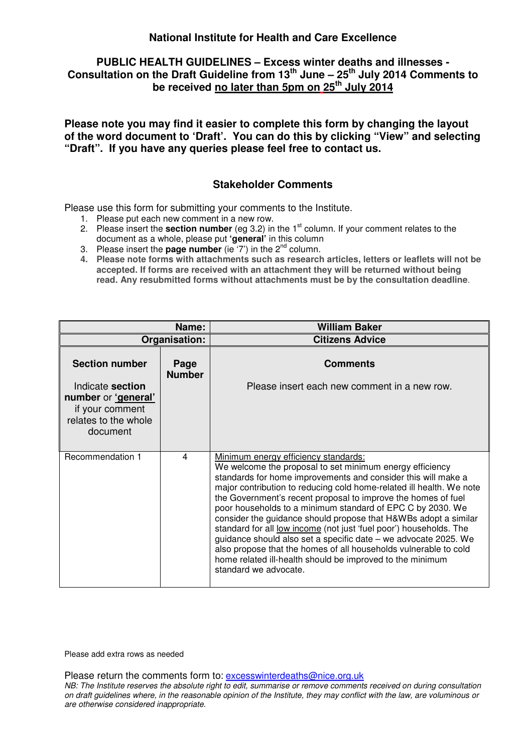# **PUBLIC HEALTH GUIDELINES – Excess winter deaths and illnesses - Consultation on the Draft Guideline from 13th June – 25th July 2014 Comments to be received no later than 5pm on 25th July 2014**

**Please note you may find it easier to complete this form by changing the layout of the word document to 'Draft'. You can do this by clicking "View" and selecting "Draft". If you have any queries please feel free to contact us.** 

### **Stakeholder Comments**

Please use this form for submitting your comments to the Institute.

- 1. Please put each new comment in a new row.
- 2. Please insert the **section number** (eq 3.2) in the 1<sup>st</sup> column. If your comment relates to the document as a whole, please put **'general'** in this column
- 3. Please insert the **page number** (ie  $(7')$  in the  $2^{nd}$  column.
- **4. Please note forms with attachments such as research articles, letters or leaflets will not be accepted. If forms are received with an attachment they will be returned without being read. Any resubmitted forms without attachments must be by the consultation deadline**.

|                                                                                                | Name:                 | <b>William Baker</b>                                                                                                                                                                                                                                                                                                                                                                                                                                                                                                                                                                                                                                                                                                                           |
|------------------------------------------------------------------------------------------------|-----------------------|------------------------------------------------------------------------------------------------------------------------------------------------------------------------------------------------------------------------------------------------------------------------------------------------------------------------------------------------------------------------------------------------------------------------------------------------------------------------------------------------------------------------------------------------------------------------------------------------------------------------------------------------------------------------------------------------------------------------------------------------|
|                                                                                                | Organisation:         | <b>Citizens Advice</b>                                                                                                                                                                                                                                                                                                                                                                                                                                                                                                                                                                                                                                                                                                                         |
| <b>Section number</b>                                                                          | Page<br><b>Number</b> | <b>Comments</b>                                                                                                                                                                                                                                                                                                                                                                                                                                                                                                                                                                                                                                                                                                                                |
| Indicate section<br>number or 'general'<br>if your comment<br>relates to the whole<br>document |                       | Please insert each new comment in a new row.                                                                                                                                                                                                                                                                                                                                                                                                                                                                                                                                                                                                                                                                                                   |
| Recommendation 1                                                                               | 4                     | Minimum energy efficiency standards:<br>We welcome the proposal to set minimum energy efficiency<br>standards for home improvements and consider this will make a<br>major contribution to reducing cold home-related ill health. We note<br>the Government's recent proposal to improve the homes of fuel<br>poor households to a minimum standard of EPC C by 2030. We<br>consider the guidance should propose that H&WBs adopt a similar<br>standard for all low income (not just 'fuel poor') households. The<br>guidance should also set a specific date - we advocate 2025. We<br>also propose that the homes of all households vulnerable to cold<br>home related ill-health should be improved to the minimum<br>standard we advocate. |

Please add extra rows as needed

Please return the comments form to: excesswinterdeaths@nice.org.uk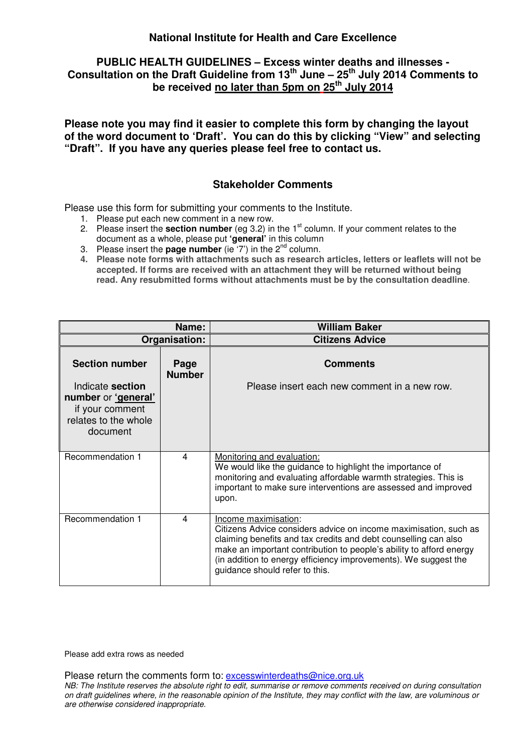# **PUBLIC HEALTH GUIDELINES – Excess winter deaths and illnesses - Consultation on the Draft Guideline from 13th June – 25th July 2014 Comments to be received no later than 5pm on 25th July 2014**

**Please note you may find it easier to complete this form by changing the layout of the word document to 'Draft'. You can do this by clicking "View" and selecting "Draft". If you have any queries please feel free to contact us.** 

### **Stakeholder Comments**

Please use this form for submitting your comments to the Institute.

- 1. Please put each new comment in a new row.
- 2. Please insert the **section number** (eq 3.2) in the 1<sup>st</sup> column. If your comment relates to the document as a whole, please put **'general'** in this column
- 3. Please insert the **page number** (ie  $(7')$  in the  $2^{nd}$  column.
- **4. Please note forms with attachments such as research articles, letters or leaflets will not be accepted. If forms are received with an attachment they will be returned without being read. Any resubmitted forms without attachments must be by the consultation deadline**.

|                                                                                                | Name:                 | <b>William Baker</b>                                                                                                                                                                                                                                                                                                                    |
|------------------------------------------------------------------------------------------------|-----------------------|-----------------------------------------------------------------------------------------------------------------------------------------------------------------------------------------------------------------------------------------------------------------------------------------------------------------------------------------|
|                                                                                                | Organisation:         | <b>Citizens Advice</b>                                                                                                                                                                                                                                                                                                                  |
| <b>Section number</b>                                                                          | Page<br><b>Number</b> | <b>Comments</b>                                                                                                                                                                                                                                                                                                                         |
| Indicate section<br>number or 'general'<br>if your comment<br>relates to the whole<br>document |                       | Please insert each new comment in a new row.                                                                                                                                                                                                                                                                                            |
| Recommendation 1                                                                               | 4                     | Monitoring and evaluation:<br>We would like the guidance to highlight the importance of<br>monitoring and evaluating affordable warmth strategies. This is<br>important to make sure interventions are assessed and improved<br>upon.                                                                                                   |
| Recommendation 1                                                                               | 4                     | Income maximisation:<br>Citizens Advice considers advice on income maximisation, such as<br>claiming benefits and tax credits and debt counselling can also<br>make an important contribution to people's ability to afford energy<br>(in addition to energy efficiency improvements). We suggest the<br>guidance should refer to this. |

Please add extra rows as needed

Please return the comments form to: excesswinterdeaths@nice.org.uk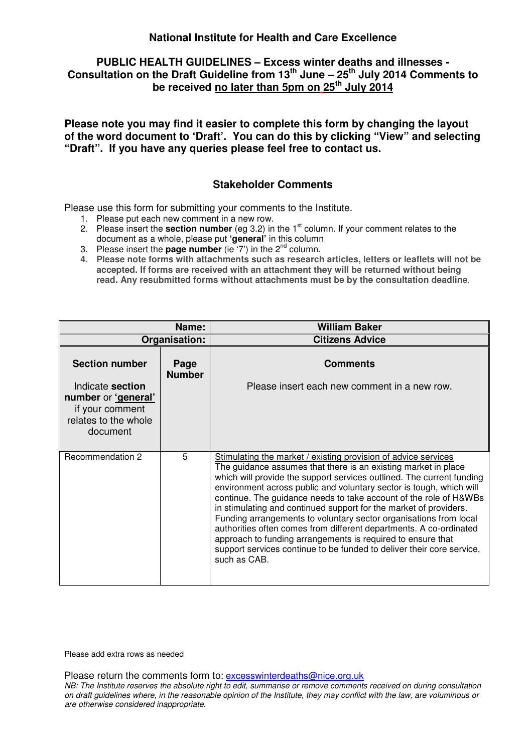### **PUBLIC HEALTH GUIDELINES – Excess winter deaths and illnesses - Consultation on the Draft Guideline from 13th June – 25th July 2014 Comments to be received no later than 5pm on 25th July 2014**

**Please note you may find it easier to complete this form by changing the layout of the word document to 'Draft'. You can do this by clicking "View" and selecting "Draft". If you have any queries please feel free to contact us.** 

### **Stakeholder Comments**

Please use this form for submitting your comments to the Institute.

- 1. Please put each new comment in a new row.
- 2. Please insert the **section number** (eq 3.2) in the 1<sup>st</sup> column. If your comment relates to the document as a whole, please put **'general'** in this column
- 3. Please insert the **page number** (ie  $(7')$  in the  $2^{nd}$  column.
- **4. Please note forms with attachments such as research articles, letters or leaflets will not be accepted. If forms are received with an attachment they will be returned without being read. Any resubmitted forms without attachments must be by the consultation deadline**.

|                                                                                                | Name:                 | <b>William Baker</b>                                                                                                                                                                                                                                                                                                                                                                                                                                                                                                                                                                                                                                                                                                          |
|------------------------------------------------------------------------------------------------|-----------------------|-------------------------------------------------------------------------------------------------------------------------------------------------------------------------------------------------------------------------------------------------------------------------------------------------------------------------------------------------------------------------------------------------------------------------------------------------------------------------------------------------------------------------------------------------------------------------------------------------------------------------------------------------------------------------------------------------------------------------------|
|                                                                                                | Organisation:         | <b>Citizens Advice</b>                                                                                                                                                                                                                                                                                                                                                                                                                                                                                                                                                                                                                                                                                                        |
| <b>Section number</b>                                                                          | Page<br><b>Number</b> | <b>Comments</b>                                                                                                                                                                                                                                                                                                                                                                                                                                                                                                                                                                                                                                                                                                               |
| Indicate section<br>number or 'general'<br>if your comment<br>relates to the whole<br>document |                       | Please insert each new comment in a new row.                                                                                                                                                                                                                                                                                                                                                                                                                                                                                                                                                                                                                                                                                  |
| Recommendation 2                                                                               | 5                     | Stimulating the market / existing provision of advice services<br>The guidance assumes that there is an existing market in place<br>which will provide the support services outlined. The current funding<br>environment across public and voluntary sector is tough, which will<br>continue. The guidance needs to take account of the role of H&WBs<br>in stimulating and continued support for the market of providers.<br>Funding arrangements to voluntary sector organisations from local<br>authorities often comes from different departments. A co-ordinated<br>approach to funding arrangements is required to ensure that<br>support services continue to be funded to deliver their core service,<br>such as CAB. |

Please add extra rows as needed

Please return the comments form to: excesswinterdeaths@nice.org.uk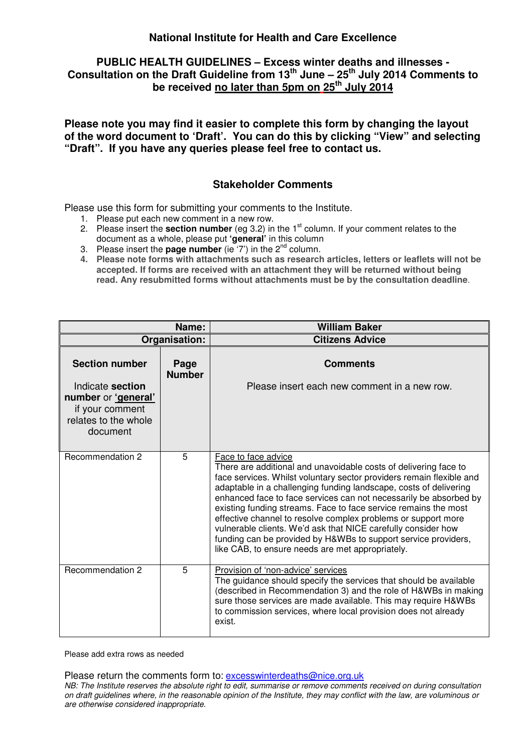# **PUBLIC HEALTH GUIDELINES – Excess winter deaths and illnesses - Consultation on the Draft Guideline from 13th June – 25th July 2014 Comments to be received no later than 5pm on 25th July 2014**

**Please note you may find it easier to complete this form by changing the layout of the word document to 'Draft'. You can do this by clicking "View" and selecting "Draft". If you have any queries please feel free to contact us.** 

### **Stakeholder Comments**

Please use this form for submitting your comments to the Institute.

- 1. Please put each new comment in a new row.
- 2. Please insert the **section number** (eg 3.2) in the 1<sup>st</sup> column. If your comment relates to the document as a whole, please put **'general'** in this column
- 3. Please insert the **page number** (ie  $(7')$  in the  $2^{nd}$  column.
- **4. Please note forms with attachments such as research articles, letters or leaflets will not be accepted. If forms are received with an attachment they will be returned without being read. Any resubmitted forms without attachments must be by the consultation deadline**.

|                                                                                                | Name:                 | <b>William Baker</b>                                                                                                                                                                                                                                                                                                                                                                                                                                                                                                                                                                                                                 |
|------------------------------------------------------------------------------------------------|-----------------------|--------------------------------------------------------------------------------------------------------------------------------------------------------------------------------------------------------------------------------------------------------------------------------------------------------------------------------------------------------------------------------------------------------------------------------------------------------------------------------------------------------------------------------------------------------------------------------------------------------------------------------------|
|                                                                                                | Organisation:         | <b>Citizens Advice</b>                                                                                                                                                                                                                                                                                                                                                                                                                                                                                                                                                                                                               |
| <b>Section number</b>                                                                          | Page<br><b>Number</b> | <b>Comments</b>                                                                                                                                                                                                                                                                                                                                                                                                                                                                                                                                                                                                                      |
| Indicate section<br>number or 'general'<br>if your comment<br>relates to the whole<br>document |                       | Please insert each new comment in a new row.                                                                                                                                                                                                                                                                                                                                                                                                                                                                                                                                                                                         |
| Recommendation 2                                                                               | 5                     | Face to face advice<br>There are additional and unavoidable costs of delivering face to<br>face services. Whilst voluntary sector providers remain flexible and<br>adaptable in a challenging funding landscape, costs of delivering<br>enhanced face to face services can not necessarily be absorbed by<br>existing funding streams. Face to face service remains the most<br>effective channel to resolve complex problems or support more<br>vulnerable clients. We'd ask that NICE carefully consider how<br>funding can be provided by H&WBs to support service providers,<br>like CAB, to ensure needs are met appropriately. |
| Recommendation 2                                                                               | 5                     | Provision of 'non-advice' services<br>The guidance should specify the services that should be available<br>(described in Recommendation 3) and the role of H&WBs in making<br>sure those services are made available. This may require H&WBs<br>to commission services, where local provision does not already<br>exist.                                                                                                                                                                                                                                                                                                             |

Please add extra rows as needed

Please return the comments form to: excesswinterdeaths@nice.org.uk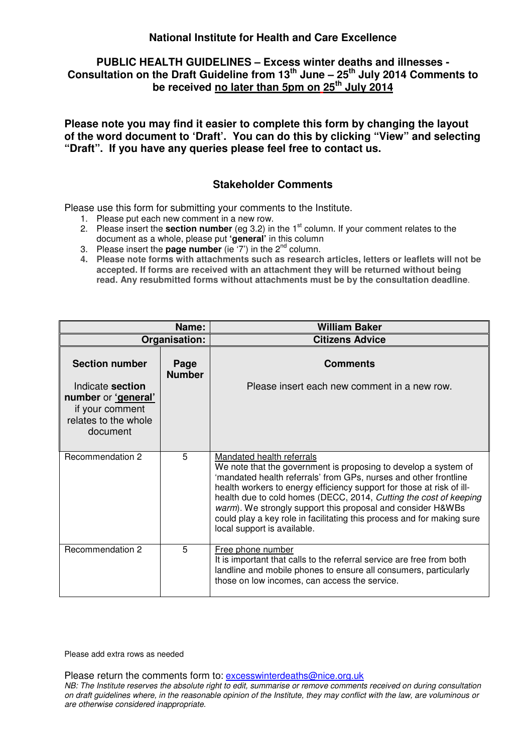### **PUBLIC HEALTH GUIDELINES – Excess winter deaths and illnesses - Consultation on the Draft Guideline from 13th June – 25th July 2014 Comments to be received no later than 5pm on 25th July 2014**

**Please note you may find it easier to complete this form by changing the layout of the word document to 'Draft'. You can do this by clicking "View" and selecting "Draft". If you have any queries please feel free to contact us.** 

### **Stakeholder Comments**

Please use this form for submitting your comments to the Institute.

- 1. Please put each new comment in a new row.
- 2. Please insert the **section number** (eg 3.2) in the 1st column. If your comment relates to the document as a whole, please put **'general'** in this column
- 3. Please insert the **page number** (ie  $(7')$  in the  $2^{nd}$  column.
- **4. Please note forms with attachments such as research articles, letters or leaflets will not be accepted. If forms are received with an attachment they will be returned without being read. Any resubmitted forms without attachments must be by the consultation deadline**.

|                                                                                                | Name:                 | <b>William Baker</b>                                                                                                                                                                                                                                                                                                                                                                                                                                                                   |
|------------------------------------------------------------------------------------------------|-----------------------|----------------------------------------------------------------------------------------------------------------------------------------------------------------------------------------------------------------------------------------------------------------------------------------------------------------------------------------------------------------------------------------------------------------------------------------------------------------------------------------|
|                                                                                                | Organisation:         | <b>Citizens Advice</b>                                                                                                                                                                                                                                                                                                                                                                                                                                                                 |
| <b>Section number</b>                                                                          | Page<br><b>Number</b> | <b>Comments</b>                                                                                                                                                                                                                                                                                                                                                                                                                                                                        |
| Indicate section<br>number or 'general'<br>if your comment<br>relates to the whole<br>document |                       | Please insert each new comment in a new row.                                                                                                                                                                                                                                                                                                                                                                                                                                           |
| Recommendation 2                                                                               | 5                     | Mandated health referrals<br>We note that the government is proposing to develop a system of<br>'mandated health referrals' from GPs, nurses and other frontline<br>health workers to energy efficiency support for those at risk of ill-<br>health due to cold homes (DECC, 2014, Cutting the cost of keeping<br>warm). We strongly support this proposal and consider H&WBs<br>could play a key role in facilitating this process and for making sure<br>local support is available. |
| Recommendation 2                                                                               | 5                     | Free phone number<br>It is important that calls to the referral service are free from both<br>landline and mobile phones to ensure all consumers, particularly<br>those on low incomes, can access the service.                                                                                                                                                                                                                                                                        |

Please add extra rows as needed

Please return the comments form to: excesswinterdeaths@nice.org.uk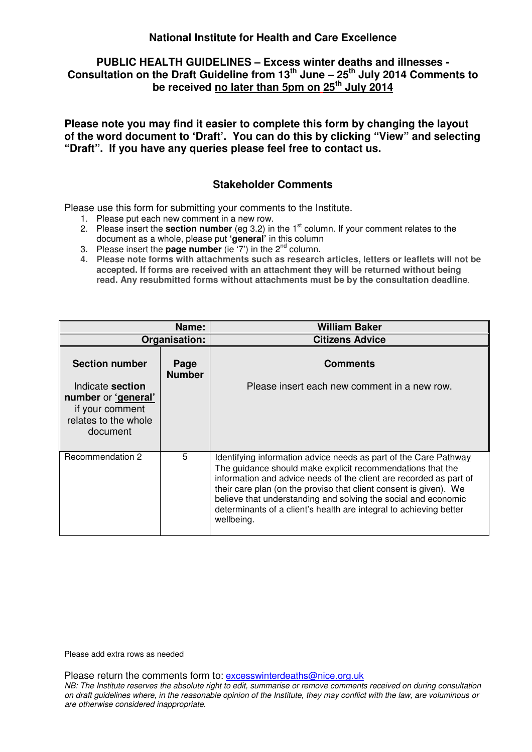# **PUBLIC HEALTH GUIDELINES – Excess winter deaths and illnesses - Consultation on the Draft Guideline from 13th June – 25th July 2014 Comments to be received no later than 5pm on 25th July 2014**

**Please note you may find it easier to complete this form by changing the layout of the word document to 'Draft'. You can do this by clicking "View" and selecting "Draft". If you have any queries please feel free to contact us.** 

#### **Stakeholder Comments**

Please use this form for submitting your comments to the Institute.

- 1. Please put each new comment in a new row.
- 2. Please insert the **section number** (eq 3.2) in the 1<sup>st</sup> column. If your comment relates to the document as a whole, please put **'general'** in this column
- 3. Please insert the **page number** (ie  $(7')$  in the  $2^{nd}$  column.
- **4. Please note forms with attachments such as research articles, letters or leaflets will not be accepted. If forms are received with an attachment they will be returned without being read. Any resubmitted forms without attachments must be by the consultation deadline**.

|                                                                                                | Name:                 | <b>William Baker</b>                                                                                                                                                                                                                                                                                                                                                                                                            |
|------------------------------------------------------------------------------------------------|-----------------------|---------------------------------------------------------------------------------------------------------------------------------------------------------------------------------------------------------------------------------------------------------------------------------------------------------------------------------------------------------------------------------------------------------------------------------|
|                                                                                                | Organisation:         | <b>Citizens Advice</b>                                                                                                                                                                                                                                                                                                                                                                                                          |
| <b>Section number</b>                                                                          | Page<br><b>Number</b> | <b>Comments</b>                                                                                                                                                                                                                                                                                                                                                                                                                 |
| Indicate section<br>number or 'general'<br>if your comment<br>relates to the whole<br>document |                       | Please insert each new comment in a new row.                                                                                                                                                                                                                                                                                                                                                                                    |
| Recommendation 2                                                                               | 5                     | Identifying information advice needs as part of the Care Pathway<br>The guidance should make explicit recommendations that the<br>information and advice needs of the client are recorded as part of<br>their care plan (on the proviso that client consent is given). We<br>believe that understanding and solving the social and economic<br>determinants of a client's health are integral to achieving better<br>wellbeing. |

Please add extra rows as needed

Please return the comments form to: excesswinterdeaths@nice.org.uk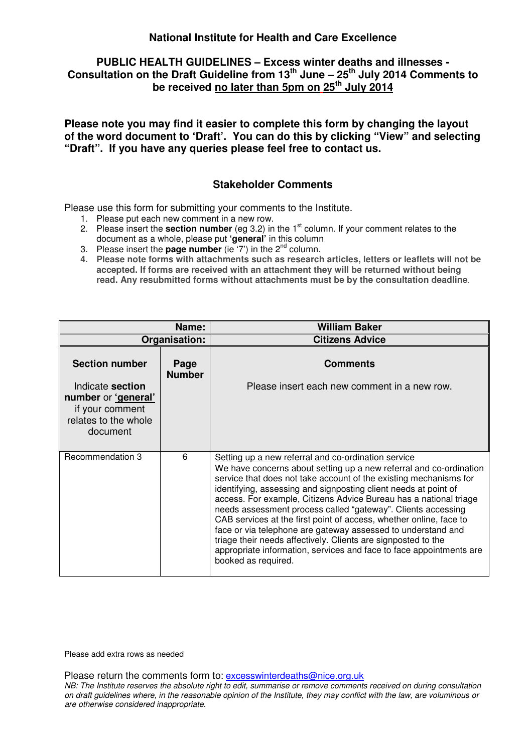# **PUBLIC HEALTH GUIDELINES – Excess winter deaths and illnesses - Consultation on the Draft Guideline from 13th June – 25th July 2014 Comments to be received no later than 5pm on 25th July 2014**

**Please note you may find it easier to complete this form by changing the layout of the word document to 'Draft'. You can do this by clicking "View" and selecting "Draft". If you have any queries please feel free to contact us.** 

## **Stakeholder Comments**

Please use this form for submitting your comments to the Institute.

- 1. Please put each new comment in a new row.
- 2. Please insert the **section number** (eg 3.2) in the 1st column. If your comment relates to the document as a whole, please put **'general'** in this column
- 3. Please insert the **page number** (ie  $(7')$  in the  $2^{nd}$  column.
- **4. Please note forms with attachments such as research articles, letters or leaflets will not be accepted. If forms are received with an attachment they will be returned without being read. Any resubmitted forms without attachments must be by the consultation deadline**.

|                                                                                                | Name:                 | <b>William Baker</b>                                                                                                                                                                                                                                                                                                                                                                                                                                                                                                                                                                                                                                                                                        |
|------------------------------------------------------------------------------------------------|-----------------------|-------------------------------------------------------------------------------------------------------------------------------------------------------------------------------------------------------------------------------------------------------------------------------------------------------------------------------------------------------------------------------------------------------------------------------------------------------------------------------------------------------------------------------------------------------------------------------------------------------------------------------------------------------------------------------------------------------------|
|                                                                                                | Organisation:         | <b>Citizens Advice</b>                                                                                                                                                                                                                                                                                                                                                                                                                                                                                                                                                                                                                                                                                      |
| <b>Section number</b>                                                                          | Page<br><b>Number</b> | <b>Comments</b>                                                                                                                                                                                                                                                                                                                                                                                                                                                                                                                                                                                                                                                                                             |
| Indicate section<br>number or 'general'<br>if your comment<br>relates to the whole<br>document |                       | Please insert each new comment in a new row.                                                                                                                                                                                                                                                                                                                                                                                                                                                                                                                                                                                                                                                                |
| Recommendation 3                                                                               | 6                     | Setting up a new referral and co-ordination service<br>We have concerns about setting up a new referral and co-ordination<br>service that does not take account of the existing mechanisms for<br>identifying, assessing and signposting client needs at point of<br>access. For example, Citizens Advice Bureau has a national triage<br>needs assessment process called "gateway". Clients accessing<br>CAB services at the first point of access, whether online, face to<br>face or via telephone are gateway assessed to understand and<br>triage their needs affectively. Clients are signposted to the<br>appropriate information, services and face to face appointments are<br>booked as required. |

Please add extra rows as needed

Please return the comments form to: excesswinterdeaths@nice.org.uk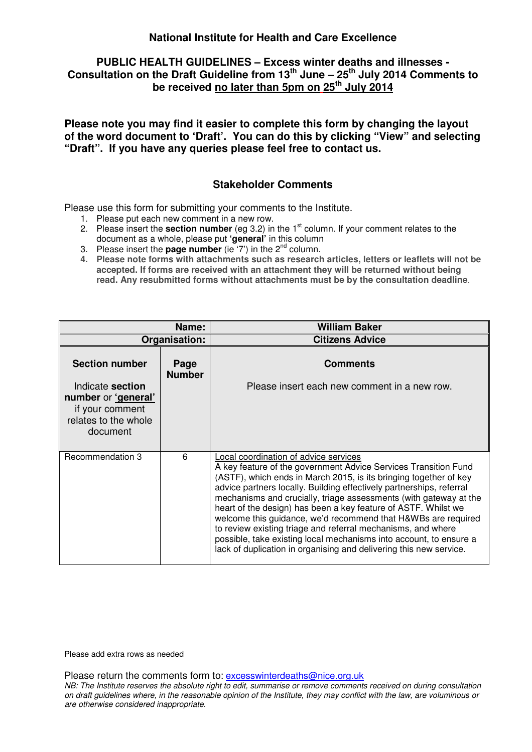# **PUBLIC HEALTH GUIDELINES – Excess winter deaths and illnesses - Consultation on the Draft Guideline from 13th June – 25th July 2014 Comments to be received no later than 5pm on 25th July 2014**

**Please note you may find it easier to complete this form by changing the layout of the word document to 'Draft'. You can do this by clicking "View" and selecting "Draft". If you have any queries please feel free to contact us.** 

### **Stakeholder Comments**

Please use this form for submitting your comments to the Institute.

- 1. Please put each new comment in a new row.
- 2. Please insert the **section number** (eq 3.2) in the 1<sup>st</sup> column. If your comment relates to the document as a whole, please put **'general'** in this column
- 3. Please insert the **page number** (ie  $(7')$  in the  $2^{nd}$  column.
- **4. Please note forms with attachments such as research articles, letters or leaflets will not be accepted. If forms are received with an attachment they will be returned without being read. Any resubmitted forms without attachments must be by the consultation deadline**.

|                                                                                                | Name:                 | <b>William Baker</b>                                                                                                                                                                                                                                                                                                                                                                                                                                                                                                                                                                                                                                                      |
|------------------------------------------------------------------------------------------------|-----------------------|---------------------------------------------------------------------------------------------------------------------------------------------------------------------------------------------------------------------------------------------------------------------------------------------------------------------------------------------------------------------------------------------------------------------------------------------------------------------------------------------------------------------------------------------------------------------------------------------------------------------------------------------------------------------------|
|                                                                                                | Organisation:         | <b>Citizens Advice</b>                                                                                                                                                                                                                                                                                                                                                                                                                                                                                                                                                                                                                                                    |
| <b>Section number</b>                                                                          | Page<br><b>Number</b> | <b>Comments</b>                                                                                                                                                                                                                                                                                                                                                                                                                                                                                                                                                                                                                                                           |
| Indicate section<br>number or 'general'<br>if your comment<br>relates to the whole<br>document |                       | Please insert each new comment in a new row.                                                                                                                                                                                                                                                                                                                                                                                                                                                                                                                                                                                                                              |
| Recommendation 3                                                                               | 6                     | Local coordination of advice services<br>A key feature of the government Advice Services Transition Fund<br>(ASTF), which ends in March 2015, is its bringing together of key<br>advice partners locally. Building effectively partnerships, referral<br>mechanisms and crucially, triage assessments (with gateway at the<br>heart of the design) has been a key feature of ASTF. Whilst we<br>welcome this guidance, we'd recommend that H&WBs are required<br>to review existing triage and referral mechanisms, and where<br>possible, take existing local mechanisms into account, to ensure a<br>lack of duplication in organising and delivering this new service. |

Please add extra rows as needed

Please return the comments form to: excesswinterdeaths@nice.org.uk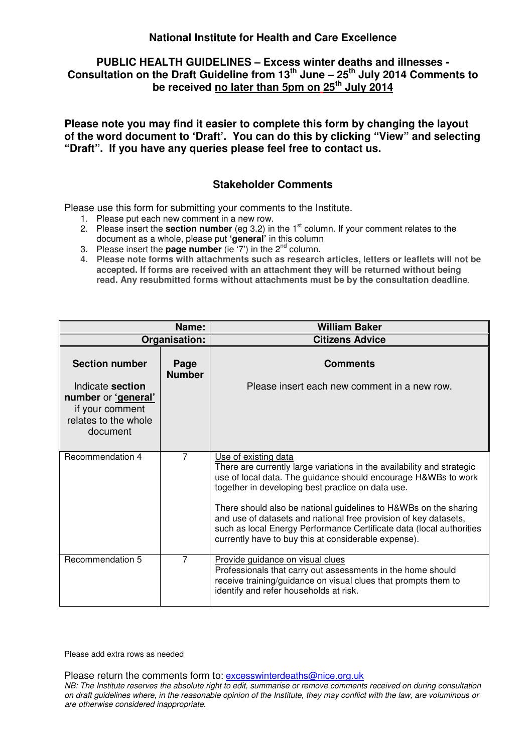### **PUBLIC HEALTH GUIDELINES – Excess winter deaths and illnesses - Consultation on the Draft Guideline from 13th June – 25th July 2014 Comments to be received no later than 5pm on 25th July 2014**

**Please note you may find it easier to complete this form by changing the layout of the word document to 'Draft'. You can do this by clicking "View" and selecting "Draft". If you have any queries please feel free to contact us.** 

### **Stakeholder Comments**

Please use this form for submitting your comments to the Institute.

- 1. Please put each new comment in a new row.
- 2. Please insert the **section number** (eq 3.2) in the 1<sup>st</sup> column. If your comment relates to the document as a whole, please put **'general'** in this column
- 3. Please insert the **page number** (ie  $(7')$  in the  $2^{nd}$  column.
- **4. Please note forms with attachments such as research articles, letters or leaflets will not be accepted. If forms are received with an attachment they will be returned without being read. Any resubmitted forms without attachments must be by the consultation deadline**.

|                                                                                                | Name:                 | <b>William Baker</b>                                                                                                                                                                                                                                                                                                                                                                                                                                                                          |
|------------------------------------------------------------------------------------------------|-----------------------|-----------------------------------------------------------------------------------------------------------------------------------------------------------------------------------------------------------------------------------------------------------------------------------------------------------------------------------------------------------------------------------------------------------------------------------------------------------------------------------------------|
|                                                                                                | Organisation:         | <b>Citizens Advice</b>                                                                                                                                                                                                                                                                                                                                                                                                                                                                        |
| <b>Section number</b>                                                                          | Page<br><b>Number</b> | <b>Comments</b>                                                                                                                                                                                                                                                                                                                                                                                                                                                                               |
| Indicate section<br>number or 'general'<br>if your comment<br>relates to the whole<br>document |                       | Please insert each new comment in a new row.                                                                                                                                                                                                                                                                                                                                                                                                                                                  |
| Recommendation 4                                                                               | $\overline{7}$        | Use of existing data<br>There are currently large variations in the availability and strategic<br>use of local data. The guidance should encourage H&WBs to work<br>together in developing best practice on data use.<br>There should also be national guidelines to H&WBs on the sharing<br>and use of datasets and national free provision of key datasets,<br>such as local Energy Performance Certificate data (local authorities<br>currently have to buy this at considerable expense). |
| Recommendation 5                                                                               | $\overline{7}$        | Provide guidance on visual clues<br>Professionals that carry out assessments in the home should<br>receive training/guidance on visual clues that prompts them to<br>identify and refer households at risk.                                                                                                                                                                                                                                                                                   |

Please add extra rows as needed

Please return the comments form to: excesswinterdeaths@nice.org.uk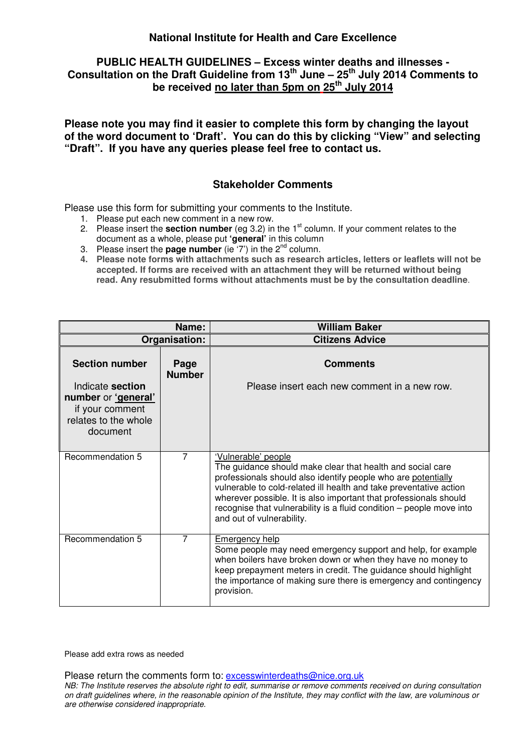### **PUBLIC HEALTH GUIDELINES – Excess winter deaths and illnesses - Consultation on the Draft Guideline from 13th June – 25th July 2014 Comments to be received no later than 5pm on 25th July 2014**

**Please note you may find it easier to complete this form by changing the layout of the word document to 'Draft'. You can do this by clicking "View" and selecting "Draft". If you have any queries please feel free to contact us.** 

### **Stakeholder Comments**

Please use this form for submitting your comments to the Institute.

- 1. Please put each new comment in a new row.
- 2. Please insert the **section number** (eq 3.2) in the 1<sup>st</sup> column. If your comment relates to the document as a whole, please put **'general'** in this column
- 3. Please insert the **page number** (ie  $(7')$  in the  $2^{nd}$  column.
- **4. Please note forms with attachments such as research articles, letters or leaflets will not be accepted. If forms are received with an attachment they will be returned without being read. Any resubmitted forms without attachments must be by the consultation deadline**.

|                                                                                                | Name:                 | <b>William Baker</b>                                                                                                                                                                                                                                                                                                                                                                               |
|------------------------------------------------------------------------------------------------|-----------------------|----------------------------------------------------------------------------------------------------------------------------------------------------------------------------------------------------------------------------------------------------------------------------------------------------------------------------------------------------------------------------------------------------|
|                                                                                                | Organisation:         | <b>Citizens Advice</b>                                                                                                                                                                                                                                                                                                                                                                             |
| <b>Section number</b>                                                                          | Page<br><b>Number</b> | <b>Comments</b>                                                                                                                                                                                                                                                                                                                                                                                    |
| Indicate section<br>number or 'general'<br>if your comment<br>relates to the whole<br>document |                       | Please insert each new comment in a new row.                                                                                                                                                                                                                                                                                                                                                       |
| Recommendation 5                                                                               | $\overline{7}$        | 'Vulnerable' people<br>The guidance should make clear that health and social care<br>professionals should also identify people who are potentially<br>vulnerable to cold-related ill health and take preventative action<br>wherever possible. It is also important that professionals should<br>recognise that vulnerability is a fluid condition – people move into<br>and out of vulnerability. |
| Recommendation 5                                                                               | $\overline{7}$        | <b>Emergency help</b><br>Some people may need emergency support and help, for example<br>when boilers have broken down or when they have no money to<br>keep prepayment meters in credit. The guidance should highlight<br>the importance of making sure there is emergency and contingency<br>provision.                                                                                          |

Please add extra rows as needed

Please return the comments form to: excesswinterdeaths@nice.org.uk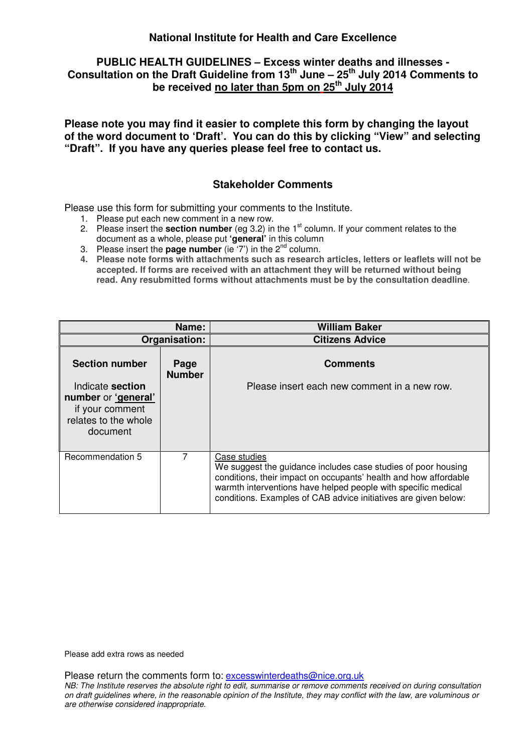### **PUBLIC HEALTH GUIDELINES – Excess winter deaths and illnesses - Consultation on the Draft Guideline from 13th June – 25th July 2014 Comments to be received no later than 5pm on 25th July 2014**

**Please note you may find it easier to complete this form by changing the layout of the word document to 'Draft'. You can do this by clicking "View" and selecting "Draft". If you have any queries please feel free to contact us.** 

### **Stakeholder Comments**

Please use this form for submitting your comments to the Institute.

- 1. Please put each new comment in a new row.
- 2. Please insert the **section number** (eg 3.2) in the 1st column. If your comment relates to the document as a whole, please put **'general'** in this column
- 3. Please insert the **page number** (ie  $(7')$  in the  $2^{nd}$  column.
- **4. Please note forms with attachments such as research articles, letters or leaflets will not be accepted. If forms are received with an attachment they will be returned without being read. Any resubmitted forms without attachments must be by the consultation deadline**.

|                                                                                                | Name:                 | <b>William Baker</b>                                                                                                                                                                                                                                                                  |
|------------------------------------------------------------------------------------------------|-----------------------|---------------------------------------------------------------------------------------------------------------------------------------------------------------------------------------------------------------------------------------------------------------------------------------|
|                                                                                                | Organisation:         | <b>Citizens Advice</b>                                                                                                                                                                                                                                                                |
| <b>Section number</b>                                                                          | Page<br><b>Number</b> | <b>Comments</b>                                                                                                                                                                                                                                                                       |
| Indicate section<br>number or 'general'<br>if your comment<br>relates to the whole<br>document |                       | Please insert each new comment in a new row.                                                                                                                                                                                                                                          |
| Recommendation 5                                                                               | 7                     | Case studies<br>We suggest the guidance includes case studies of poor housing<br>conditions, their impact on occupants' health and how affordable<br>warmth interventions have helped people with specific medical<br>conditions. Examples of CAB advice initiatives are given below: |

Please add extra rows as needed

Please return the comments form to: excesswinterdeaths@nice.org.uk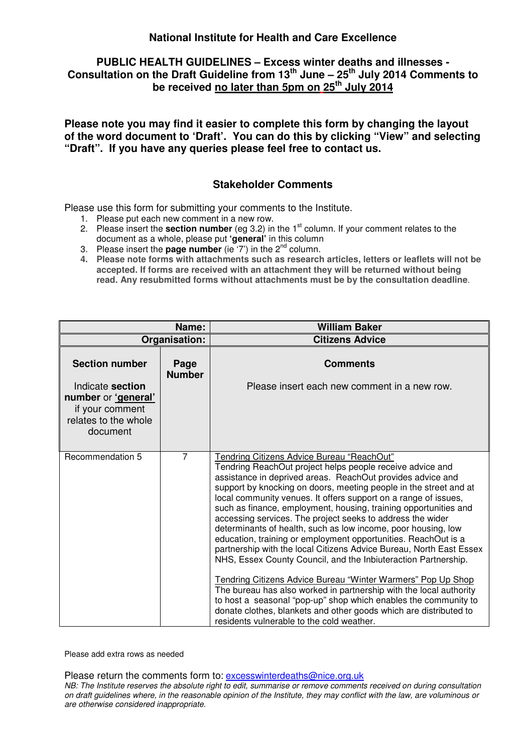# **PUBLIC HEALTH GUIDELINES – Excess winter deaths and illnesses - Consultation on the Draft Guideline from 13th June – 25th July 2014 Comments to be received no later than 5pm on 25th July 2014**

**Please note you may find it easier to complete this form by changing the layout of the word document to 'Draft'. You can do this by clicking "View" and selecting "Draft". If you have any queries please feel free to contact us.** 

### **Stakeholder Comments**

Please use this form for submitting your comments to the Institute.

- 1. Please put each new comment in a new row.
- 2. Please insert the **section number** (eg 3.2) in the 1<sup>st</sup> column. If your comment relates to the document as a whole, please put **'general'** in this column
- 3. Please insert the **page number** (ie  $(7')$  in the  $2^{nd}$  column.
- **4. Please note forms with attachments such as research articles, letters or leaflets will not be accepted. If forms are received with an attachment they will be returned without being read. Any resubmitted forms without attachments must be by the consultation deadline**.

|                                                                                                | Name:                 | <b>William Baker</b>                                                                                                                                                                                                                                                                                                                                                                                                                                                                                                                                                                                                                                                                                                                                                                                                                                                                                                                                                                                                                                   |
|------------------------------------------------------------------------------------------------|-----------------------|--------------------------------------------------------------------------------------------------------------------------------------------------------------------------------------------------------------------------------------------------------------------------------------------------------------------------------------------------------------------------------------------------------------------------------------------------------------------------------------------------------------------------------------------------------------------------------------------------------------------------------------------------------------------------------------------------------------------------------------------------------------------------------------------------------------------------------------------------------------------------------------------------------------------------------------------------------------------------------------------------------------------------------------------------------|
|                                                                                                | Organisation:         | <b>Citizens Advice</b>                                                                                                                                                                                                                                                                                                                                                                                                                                                                                                                                                                                                                                                                                                                                                                                                                                                                                                                                                                                                                                 |
| <b>Section number</b>                                                                          | Page<br><b>Number</b> | <b>Comments</b>                                                                                                                                                                                                                                                                                                                                                                                                                                                                                                                                                                                                                                                                                                                                                                                                                                                                                                                                                                                                                                        |
| Indicate section<br>number or 'general'<br>if your comment<br>relates to the whole<br>document |                       | Please insert each new comment in a new row.                                                                                                                                                                                                                                                                                                                                                                                                                                                                                                                                                                                                                                                                                                                                                                                                                                                                                                                                                                                                           |
| Recommendation 5                                                                               | $\overline{7}$        | Tendring Citizens Advice Bureau "ReachOut"<br>Tendring ReachOut project helps people receive advice and<br>assistance in deprived areas. ReachOut provides advice and<br>support by knocking on doors, meeting people in the street and at<br>local community venues. It offers support on a range of issues,<br>such as finance, employment, housing, training opportunities and<br>accessing services. The project seeks to address the wider<br>determinants of health, such as low income, poor housing, low<br>education, training or employment opportunities. ReachOut is a<br>partnership with the local Citizens Advice Bureau, North East Essex<br>NHS, Essex County Council, and the Inbiuteraction Partnership.<br>Tendring Citizens Advice Bureau "Winter Warmers" Pop Up Shop<br>The bureau has also worked in partnership with the local authority<br>to host a seasonal "pop-up" shop which enables the community to<br>donate clothes, blankets and other goods which are distributed to<br>residents vulnerable to the cold weather. |

Please add extra rows as needed

Please return the comments form to: excesswinterdeaths@nice.org.uk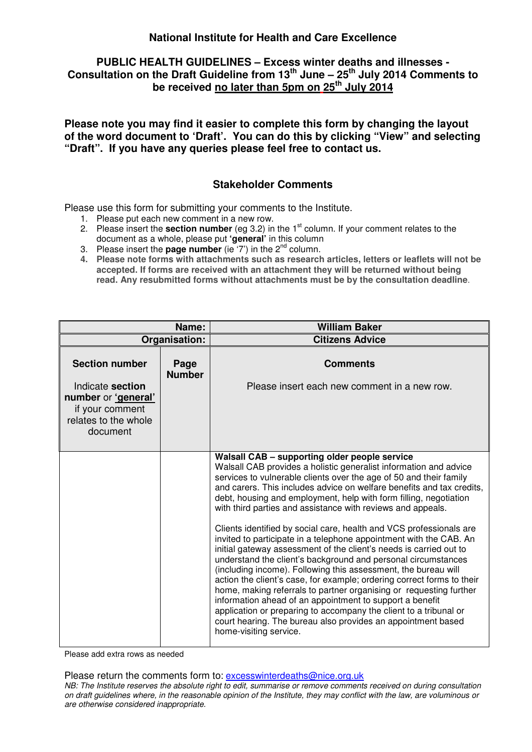### **PUBLIC HEALTH GUIDELINES – Excess winter deaths and illnesses - Consultation on the Draft Guideline from 13th June – 25th July 2014 Comments to be received no later than 5pm on 25th July 2014**

**Please note you may find it easier to complete this form by changing the layout of the word document to 'Draft'. You can do this by clicking "View" and selecting "Draft". If you have any queries please feel free to contact us.** 

### **Stakeholder Comments**

Please use this form for submitting your comments to the Institute.

- 1. Please put each new comment in a new row.
- 2. Please insert the **section number** (eg 3.2) in the 1<sup>st</sup> column. If your comment relates to the document as a whole, please put **'general'** in this column
- 3. Please insert the **page number** (ie  $(7')$  in the  $2^{nd}$  column.
- **4. Please note forms with attachments such as research articles, letters or leaflets will not be accepted. If forms are received with an attachment they will be returned without being read. Any resubmitted forms without attachments must be by the consultation deadline**.

|                                                                                                | Name:                 | <b>William Baker</b>                                                                                                                                                                                                                                                                                                                                                                                                                                                                                                                                                                                                                                                                                                                                                                                                                                                                                                                                                                                                                                                                                                                   |
|------------------------------------------------------------------------------------------------|-----------------------|----------------------------------------------------------------------------------------------------------------------------------------------------------------------------------------------------------------------------------------------------------------------------------------------------------------------------------------------------------------------------------------------------------------------------------------------------------------------------------------------------------------------------------------------------------------------------------------------------------------------------------------------------------------------------------------------------------------------------------------------------------------------------------------------------------------------------------------------------------------------------------------------------------------------------------------------------------------------------------------------------------------------------------------------------------------------------------------------------------------------------------------|
|                                                                                                | Organisation:         | <b>Citizens Advice</b>                                                                                                                                                                                                                                                                                                                                                                                                                                                                                                                                                                                                                                                                                                                                                                                                                                                                                                                                                                                                                                                                                                                 |
| <b>Section number</b>                                                                          | Page<br><b>Number</b> | <b>Comments</b>                                                                                                                                                                                                                                                                                                                                                                                                                                                                                                                                                                                                                                                                                                                                                                                                                                                                                                                                                                                                                                                                                                                        |
| Indicate section<br>number or 'general'<br>if your comment<br>relates to the whole<br>document |                       | Please insert each new comment in a new row.                                                                                                                                                                                                                                                                                                                                                                                                                                                                                                                                                                                                                                                                                                                                                                                                                                                                                                                                                                                                                                                                                           |
|                                                                                                |                       | Walsall CAB - supporting older people service<br>Walsall CAB provides a holistic generalist information and advice<br>services to vulnerable clients over the age of 50 and their family<br>and carers. This includes advice on welfare benefits and tax credits,<br>debt, housing and employment, help with form filling, negotiation<br>with third parties and assistance with reviews and appeals.<br>Clients identified by social care, health and VCS professionals are<br>invited to participate in a telephone appointment with the CAB. An<br>initial gateway assessment of the client's needs is carried out to<br>understand the client's background and personal circumstances<br>(including income). Following this assessment, the bureau will<br>action the client's case, for example; ordering correct forms to their<br>home, making referrals to partner organising or requesting further<br>information ahead of an appointment to support a benefit<br>application or preparing to accompany the client to a tribunal or<br>court hearing. The bureau also provides an appointment based<br>home-visiting service. |

Please add extra rows as needed

Please return the comments form to: excesswinterdeaths@nice.org.uk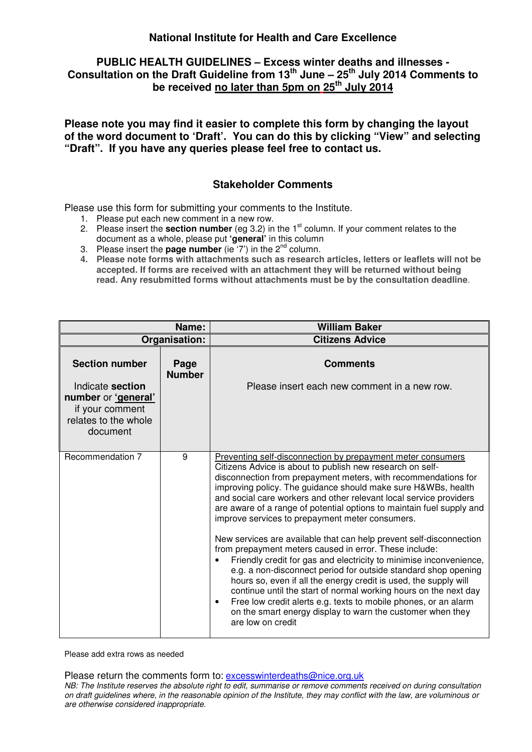### **PUBLIC HEALTH GUIDELINES – Excess winter deaths and illnesses - Consultation on the Draft Guideline from 13th June – 25th July 2014 Comments to be received no later than 5pm on 25th July 2014**

**Please note you may find it easier to complete this form by changing the layout of the word document to 'Draft'. You can do this by clicking "View" and selecting "Draft". If you have any queries please feel free to contact us.** 

### **Stakeholder Comments**

Please use this form for submitting your comments to the Institute.

- 1. Please put each new comment in a new row.
- 2. Please insert the **section number** (eq 3.2) in the 1<sup>st</sup> column. If your comment relates to the document as a whole, please put **'general'** in this column
- 3. Please insert the **page number** (ie  $(7')$  in the  $2^{nd}$  column.
- **4. Please note forms with attachments such as research articles, letters or leaflets will not be accepted. If forms are received with an attachment they will be returned without being read. Any resubmitted forms without attachments must be by the consultation deadline**.

|                                                                                                | Name:                 | <b>William Baker</b>                                                                                                                                                                                                                                                                                                                                                                                                                                                                                                                                                                          |
|------------------------------------------------------------------------------------------------|-----------------------|-----------------------------------------------------------------------------------------------------------------------------------------------------------------------------------------------------------------------------------------------------------------------------------------------------------------------------------------------------------------------------------------------------------------------------------------------------------------------------------------------------------------------------------------------------------------------------------------------|
|                                                                                                | Organisation:         | <b>Citizens Advice</b>                                                                                                                                                                                                                                                                                                                                                                                                                                                                                                                                                                        |
| <b>Section number</b>                                                                          | Page<br><b>Number</b> | <b>Comments</b>                                                                                                                                                                                                                                                                                                                                                                                                                                                                                                                                                                               |
| Indicate section<br>number or 'general'<br>if your comment<br>relates to the whole<br>document |                       | Please insert each new comment in a new row.                                                                                                                                                                                                                                                                                                                                                                                                                                                                                                                                                  |
| Recommendation 7                                                                               | 9                     | Preventing self-disconnection by prepayment meter consumers<br>Citizens Advice is about to publish new research on self-<br>disconnection from prepayment meters, with recommendations for<br>improving policy. The guidance should make sure H&WBs, health<br>and social care workers and other relevant local service providers<br>are aware of a range of potential options to maintain fuel supply and<br>improve services to prepayment meter consumers.                                                                                                                                 |
|                                                                                                |                       | New services are available that can help prevent self-disconnection<br>from prepayment meters caused in error. These include:<br>Friendly credit for gas and electricity to minimise inconvenience,<br>$\bullet$<br>e.g. a non-disconnect period for outside standard shop opening<br>hours so, even if all the energy credit is used, the supply will<br>continue until the start of normal working hours on the next day<br>Free low credit alerts e.g. texts to mobile phones, or an alarm<br>$\bullet$<br>on the smart energy display to warn the customer when they<br>are low on credit |

Please add extra rows as needed

Please return the comments form to: excesswinterdeaths@nice.org.uk NB: The Institute reserves the absolute right to edit, summarise or remove comments received on during consultation on draft guidelines where, in the reasonable opinion of the Institute, they may conflict with the law, are voluminous or are otherwise considered inappropriate.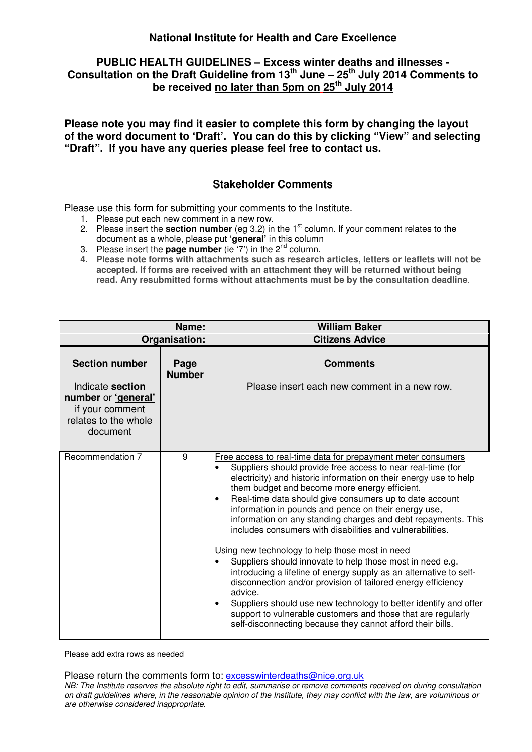# **PUBLIC HEALTH GUIDELINES – Excess winter deaths and illnesses - Consultation on the Draft Guideline from 13th June – 25th July 2014 Comments to be received no later than 5pm on 25th July 2014**

**Please note you may find it easier to complete this form by changing the layout of the word document to 'Draft'. You can do this by clicking "View" and selecting "Draft". If you have any queries please feel free to contact us.** 

### **Stakeholder Comments**

Please use this form for submitting your comments to the Institute.

- 1. Please put each new comment in a new row.
- 2. Please insert the **section number** (eg 3.2) in the 1<sup>st</sup> column. If your comment relates to the document as a whole, please put **'general'** in this column
- 3. Please insert the **page number** (ie  $(7')$  in the  $2^{nd}$  column.
- **4. Please note forms with attachments such as research articles, letters or leaflets will not be accepted. If forms are received with an attachment they will be returned without being read. Any resubmitted forms without attachments must be by the consultation deadline**.

| Name:                                                                                          |                       | <b>William Baker</b>                                                                                                                                                                                                                                                                                                                                                                                                                                                                                                         |
|------------------------------------------------------------------------------------------------|-----------------------|------------------------------------------------------------------------------------------------------------------------------------------------------------------------------------------------------------------------------------------------------------------------------------------------------------------------------------------------------------------------------------------------------------------------------------------------------------------------------------------------------------------------------|
| Organisation:                                                                                  |                       | <b>Citizens Advice</b>                                                                                                                                                                                                                                                                                                                                                                                                                                                                                                       |
| <b>Section number</b>                                                                          | Page<br><b>Number</b> | <b>Comments</b>                                                                                                                                                                                                                                                                                                                                                                                                                                                                                                              |
| Indicate section<br>number or 'general'<br>if your comment<br>relates to the whole<br>document |                       | Please insert each new comment in a new row.                                                                                                                                                                                                                                                                                                                                                                                                                                                                                 |
| Recommendation 7                                                                               | 9                     | Free access to real-time data for prepayment meter consumers<br>Suppliers should provide free access to near real-time (for<br>$\bullet$<br>electricity) and historic information on their energy use to help<br>them budget and become more energy efficient.<br>Real-time data should give consumers up to date account<br>$\bullet$<br>information in pounds and pence on their energy use,<br>information on any standing charges and debt repayments. This<br>includes consumers with disabilities and vulnerabilities. |
|                                                                                                |                       | Using new technology to help those most in need<br>Suppliers should innovate to help those most in need e.g.<br>introducing a lifeline of energy supply as an alternative to self-<br>disconnection and/or provision of tailored energy efficiency<br>advice.<br>Suppliers should use new technology to better identify and offer<br>$\bullet$<br>support to vulnerable customers and those that are regularly<br>self-disconnecting because they cannot afford their bills.                                                 |

Please add extra rows as needed

Please return the comments form to: excesswinterdeaths@nice.org.uk NB: The Institute reserves the absolute right to edit, summarise or remove comments received on during consultation on draft guidelines where, in the reasonable opinion of the Institute, they may conflict with the law, are voluminous or are otherwise considered inappropriate.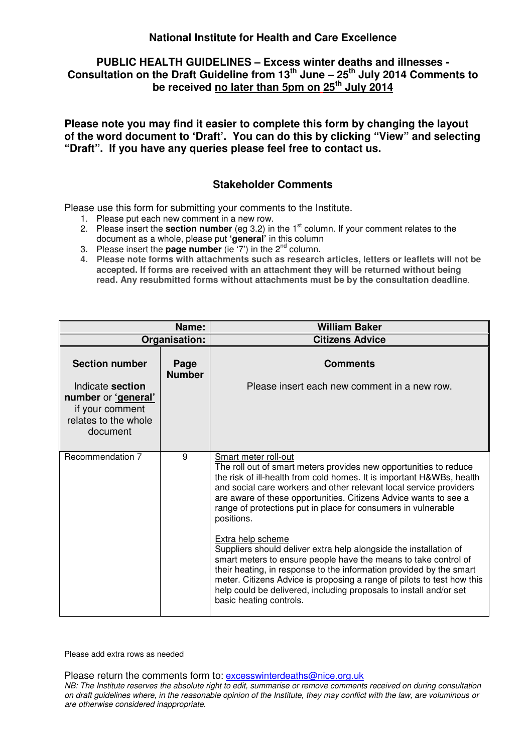### **PUBLIC HEALTH GUIDELINES – Excess winter deaths and illnesses - Consultation on the Draft Guideline from 13th June – 25th July 2014 Comments to be received no later than 5pm on 25th July 2014**

**Please note you may find it easier to complete this form by changing the layout of the word document to 'Draft'. You can do this by clicking "View" and selecting "Draft". If you have any queries please feel free to contact us.** 

### **Stakeholder Comments**

Please use this form for submitting your comments to the Institute.

- 1. Please put each new comment in a new row.
- 2. Please insert the **section number** (eq 3.2) in the 1<sup>st</sup> column. If your comment relates to the document as a whole, please put **'general'** in this column
- 3. Please insert the **page number** (ie  $(7')$  in the  $2^{nd}$  column.
- **4. Please note forms with attachments such as research articles, letters or leaflets will not be accepted. If forms are received with an attachment they will be returned without being read. Any resubmitted forms without attachments must be by the consultation deadline**.

|                                                                                                | Name:                 | <b>William Baker</b>                                                                                                                                                                                                                                                                                                                                                                                        |
|------------------------------------------------------------------------------------------------|-----------------------|-------------------------------------------------------------------------------------------------------------------------------------------------------------------------------------------------------------------------------------------------------------------------------------------------------------------------------------------------------------------------------------------------------------|
|                                                                                                | Organisation:         | <b>Citizens Advice</b>                                                                                                                                                                                                                                                                                                                                                                                      |
| <b>Section number</b>                                                                          | Page<br><b>Number</b> | <b>Comments</b>                                                                                                                                                                                                                                                                                                                                                                                             |
| Indicate section<br>number or 'general'<br>if your comment<br>relates to the whole<br>document |                       | Please insert each new comment in a new row.                                                                                                                                                                                                                                                                                                                                                                |
| Recommendation 7                                                                               | 9                     | Smart meter roll-out<br>The roll out of smart meters provides new opportunities to reduce<br>the risk of ill-health from cold homes. It is important H&WBs, health<br>and social care workers and other relevant local service providers<br>are aware of these opportunities. Citizens Advice wants to see a<br>range of protections put in place for consumers in vulnerable<br>positions.                 |
|                                                                                                |                       | Extra help scheme<br>Suppliers should deliver extra help alongside the installation of<br>smart meters to ensure people have the means to take control of<br>their heating, in response to the information provided by the smart<br>meter. Citizens Advice is proposing a range of pilots to test how this<br>help could be delivered, including proposals to install and/or set<br>basic heating controls. |

Please add extra rows as needed

Please return the comments form to: excesswinterdeaths@nice.org.uk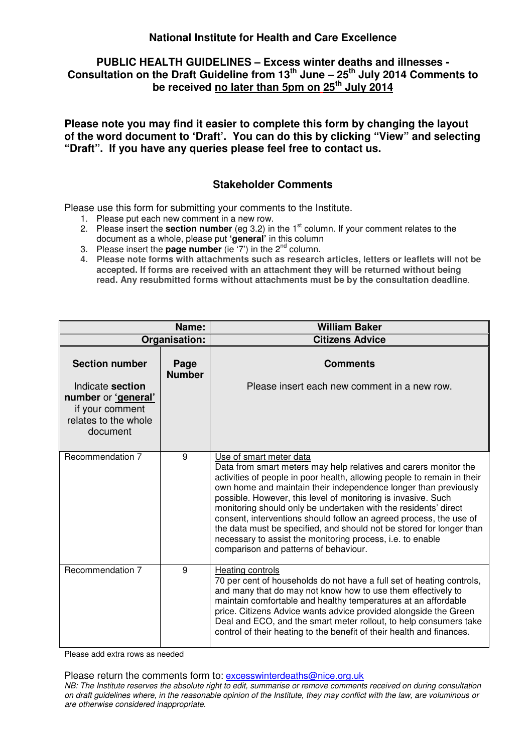# **PUBLIC HEALTH GUIDELINES – Excess winter deaths and illnesses - Consultation on the Draft Guideline from 13th June – 25th July 2014 Comments to be received no later than 5pm on 25th July 2014**

**Please note you may find it easier to complete this form by changing the layout of the word document to 'Draft'. You can do this by clicking "View" and selecting "Draft". If you have any queries please feel free to contact us.** 

### **Stakeholder Comments**

Please use this form for submitting your comments to the Institute.

- 1. Please put each new comment in a new row.
- 2. Please insert the **section number** (eg 3.2) in the 1<sup>st</sup> column. If your comment relates to the document as a whole, please put **'general'** in this column
- 3. Please insert the **page number** (ie  $(7')$  in the  $2^{nd}$  column.
- **4. Please note forms with attachments such as research articles, letters or leaflets will not be accepted. If forms are received with an attachment they will be returned without being read. Any resubmitted forms without attachments must be by the consultation deadline**.

|                                                                                                | Name:                 | <b>William Baker</b>                                                                                                                                                                                                                                                                                                                                                                                                                                                                                                                                                                                                               |
|------------------------------------------------------------------------------------------------|-----------------------|------------------------------------------------------------------------------------------------------------------------------------------------------------------------------------------------------------------------------------------------------------------------------------------------------------------------------------------------------------------------------------------------------------------------------------------------------------------------------------------------------------------------------------------------------------------------------------------------------------------------------------|
|                                                                                                | Organisation:         | <b>Citizens Advice</b>                                                                                                                                                                                                                                                                                                                                                                                                                                                                                                                                                                                                             |
| <b>Section number</b>                                                                          | Page<br><b>Number</b> | <b>Comments</b>                                                                                                                                                                                                                                                                                                                                                                                                                                                                                                                                                                                                                    |
| Indicate section<br>number or 'general'<br>if your comment<br>relates to the whole<br>document |                       | Please insert each new comment in a new row.                                                                                                                                                                                                                                                                                                                                                                                                                                                                                                                                                                                       |
|                                                                                                |                       |                                                                                                                                                                                                                                                                                                                                                                                                                                                                                                                                                                                                                                    |
| Recommendation 7                                                                               | 9                     | Use of smart meter data<br>Data from smart meters may help relatives and carers monitor the<br>activities of people in poor health, allowing people to remain in their<br>own home and maintain their independence longer than previously<br>possible. However, this level of monitoring is invasive. Such<br>monitoring should only be undertaken with the residents' direct<br>consent, interventions should follow an agreed process, the use of<br>the data must be specified, and should not be stored for longer than<br>necessary to assist the monitoring process, i.e. to enable<br>comparison and patterns of behaviour. |
| Recommendation 7                                                                               | 9                     | Heating controls<br>70 per cent of households do not have a full set of heating controls,<br>and many that do may not know how to use them effectively to<br>maintain comfortable and healthy temperatures at an affordable<br>price. Citizens Advice wants advice provided alongside the Green<br>Deal and ECO, and the smart meter rollout, to help consumers take<br>control of their heating to the benefit of their health and finances.                                                                                                                                                                                      |

Please add extra rows as needed

Please return the comments form to: excesswinterdeaths@nice.org.uk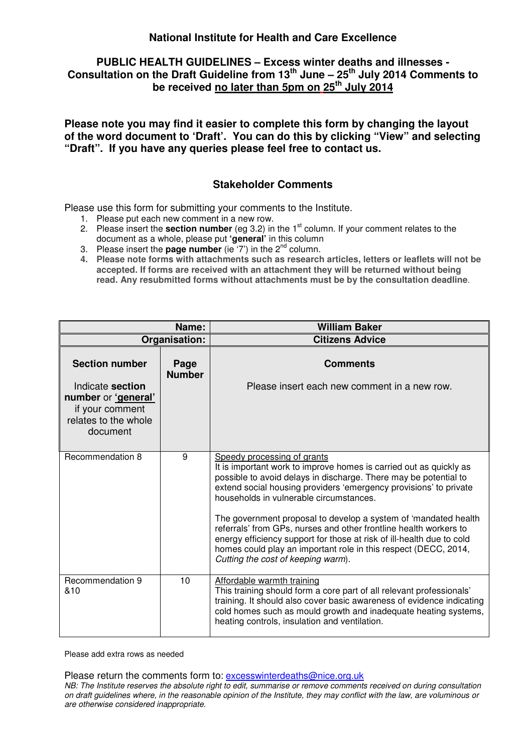### **PUBLIC HEALTH GUIDELINES – Excess winter deaths and illnesses - Consultation on the Draft Guideline from 13th June – 25th July 2014 Comments to be received no later than 5pm on 25th July 2014**

**Please note you may find it easier to complete this form by changing the layout of the word document to 'Draft'. You can do this by clicking "View" and selecting "Draft". If you have any queries please feel free to contact us.** 

### **Stakeholder Comments**

Please use this form for submitting your comments to the Institute.

- 1. Please put each new comment in a new row.
- 2. Please insert the **section number** (eg 3.2) in the 1<sup>st</sup> column. If your comment relates to the document as a whole, please put **'general'** in this column
- 3. Please insert the **page number** (ie  $(7')$  in the  $2^{nd}$  column.
- **4. Please note forms with attachments such as research articles, letters or leaflets will not be accepted. If forms are received with an attachment they will be returned without being read. Any resubmitted forms without attachments must be by the consultation deadline**.

|                                                                                                | Name:                 | <b>William Baker</b>                                                                                                                                                                                                                                                                                                                                                                                                                                                                                                                                                                                            |
|------------------------------------------------------------------------------------------------|-----------------------|-----------------------------------------------------------------------------------------------------------------------------------------------------------------------------------------------------------------------------------------------------------------------------------------------------------------------------------------------------------------------------------------------------------------------------------------------------------------------------------------------------------------------------------------------------------------------------------------------------------------|
| Organisation:                                                                                  |                       | <b>Citizens Advice</b>                                                                                                                                                                                                                                                                                                                                                                                                                                                                                                                                                                                          |
| <b>Section number</b>                                                                          | Page<br><b>Number</b> | <b>Comments</b>                                                                                                                                                                                                                                                                                                                                                                                                                                                                                                                                                                                                 |
| Indicate section<br>number or 'general'<br>if your comment<br>relates to the whole<br>document |                       | Please insert each new comment in a new row.                                                                                                                                                                                                                                                                                                                                                                                                                                                                                                                                                                    |
| Recommendation 8                                                                               | 9                     | Speedy processing of grants<br>It is important work to improve homes is carried out as quickly as<br>possible to avoid delays in discharge. There may be potential to<br>extend social housing providers 'emergency provisions' to private<br>households in vulnerable circumstances.<br>The government proposal to develop a system of 'mandated health<br>referrals' from GPs, nurses and other frontline health workers to<br>energy efficiency support for those at risk of ill-health due to cold<br>homes could play an important role in this respect (DECC, 2014,<br>Cutting the cost of keeping warm). |
| Recommendation 9<br>&10                                                                        | 10                    | Affordable warmth training<br>This training should form a core part of all relevant professionals'<br>training. It should also cover basic awareness of evidence indicating<br>cold homes such as mould growth and inadequate heating systems,<br>heating controls, insulation and ventilation.                                                                                                                                                                                                                                                                                                                 |

Please add extra rows as needed

Please return the comments form to: excesswinterdeaths@nice.org.uk